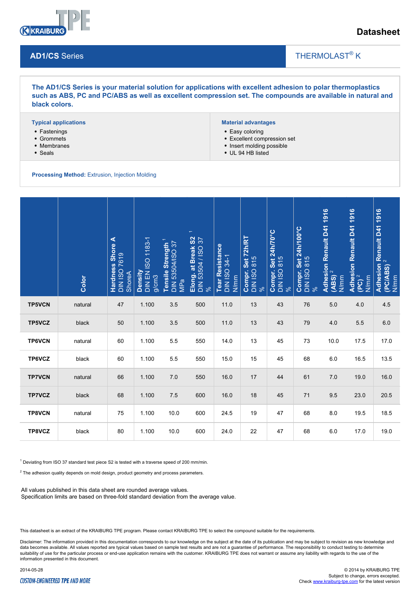

## **Datasheet**

#### **AD1/CS** Series

## THERMOLAST<sup>®</sup> K

 $\overline{\phantom{a}}$ 

**The AD1/CS Series is your material solution for applications with excellent adhesion to polar thermoplastics such as ABS, PC and PC/ABS as well as excellent compression set. The compounds are available in natural and black colors.**

#### **Typical applications**

- Fastenings
- Grommets
- Membranes
- Seals

#### **Material advantages**

- Easy coloring
- Excellent compression set
- Insert molding possible
- UL 94 HB listed

**Processing Method:** Extrusion, Injection Molding

|                                                                                                                                                                                                                                                                                                                                                                         | Color   | <b>Hardness Shore A</b><br>DIN ISO 7619<br>ShoreA | Density<br>DIN EN ISO 1183-1<br>g/cm3 | Tensile Strength<br>DIN 53504/ISO 37<br>MPa | $\overline{ }$<br>Elong. at Break S2<br>DIN 53504 / ISO 37<br>% | Tear Resistance<br>DIN ISO 34-1<br>N/mm | Compr. Set 72h/RT<br>DIN ISO 815<br>% | Compr. Set 24h/70°C<br>DIN ISO 815<br>% | Set 24h/100°C<br>$\begin{array}{l} \textbf{Compr. Set 2} \ \texttt{DN} \ \texttt{ISO} \ \texttt{815} \ \texttt{\%} \end{array}$ | N/mm    | Adhesion Renault D41 1916<br>(PC) <sup>2</sup><br>N/mm | Adhesion Renault D41 1916<br>(PC/ABS) <sup>2</sup><br>N/mm |
|-------------------------------------------------------------------------------------------------------------------------------------------------------------------------------------------------------------------------------------------------------------------------------------------------------------------------------------------------------------------------|---------|---------------------------------------------------|---------------------------------------|---------------------------------------------|-----------------------------------------------------------------|-----------------------------------------|---------------------------------------|-----------------------------------------|---------------------------------------------------------------------------------------------------------------------------------|---------|--------------------------------------------------------|------------------------------------------------------------|
| <b>TP5VCN</b>                                                                                                                                                                                                                                                                                                                                                           | natural | 47                                                | 1.100                                 | 3.5                                         | 500                                                             | 11.0                                    | 13                                    | 43                                      | 76                                                                                                                              | $5.0\,$ | 4.0                                                    | 4.5                                                        |
| TP5VCZ                                                                                                                                                                                                                                                                                                                                                                  | black   | 50                                                | 1.100                                 | $3.5\,$                                     | 500                                                             | 11.0                                    | 13                                    | 43                                      | 79                                                                                                                              | 4.0     | 5.5                                                    | $6.0\,$                                                    |
| <b>TP6VCN</b>                                                                                                                                                                                                                                                                                                                                                           | natural | 60                                                | 1.100                                 | 5.5                                         | 550                                                             | 14.0                                    | 13                                    | 45                                      | 73                                                                                                                              | 10.0    | 17.5                                                   | 17.0                                                       |
| TP6VCZ                                                                                                                                                                                                                                                                                                                                                                  | black   | 60                                                | 1.100                                 | 5.5                                         | 550                                                             | 15.0                                    | 15                                    | 45                                      | 68                                                                                                                              | 6.0     | 16.5                                                   | 13.5                                                       |
| <b>TP7VCN</b>                                                                                                                                                                                                                                                                                                                                                           | natural | 66                                                | 1.100                                 | $7.0\,$                                     | 550                                                             | 16.0                                    | 17                                    | 44                                      | 61                                                                                                                              | $7.0\,$ | 19.0                                                   | 16.0                                                       |
| <b>TP7VCZ</b>                                                                                                                                                                                                                                                                                                                                                           | black   | 68                                                | 1.100                                 | 7.5                                         | 600                                                             | 16.0                                    | 18                                    | 45                                      | 71                                                                                                                              | 9.5     | 23.0                                                   | 20.5                                                       |
| TP8VCN                                                                                                                                                                                                                                                                                                                                                                  | natural | 75                                                | 1.100                                 | 10.0                                        | 600                                                             | 24.5                                    | 19                                    | 47                                      | 68                                                                                                                              | 8.0     | 19.5                                                   | 18.5                                                       |
| TP8VCZ                                                                                                                                                                                                                                                                                                                                                                  | black   | 80                                                | 1.100                                 | 10.0                                        | 600                                                             | 24.0                                    | 22                                    | 47                                      | 68                                                                                                                              | 6.0     | 17.0                                                   | 19.0                                                       |
| <sup>1</sup> Deviating from ISO 37 standard test piece S2 is tested with a traverse speed of 200 mm/min.<br>$2$ The adhesion quality depends on mold design, product geometry and process parameters.<br>All values published in this data sheet are rounded average values.<br>Specification limits are based on three-fold standard deviation from the average value. |         |                                                   |                                       |                                             |                                                                 |                                         |                                       |                                         |                                                                                                                                 |         |                                                        |                                                            |

This datasheet is an extract of the KRAIBURG TPE program. Please contact KRAIBURG TPE to select the compound suitable for the requirements.

Disclaimer: The information provided in this documentation corresponds to our knowledge on the subject at the date of its publication and may be subject to revision as new knowledge and data becomes available. All values reported are typical values based on sample test results and are not a guarantee of performance. The responsibility to conduct testing to determine suitability of use for the particular process or end-use application remains with the customer. KRAIBURG TPE does not warrant or assume any liability with regards to the use of the information presented in this document.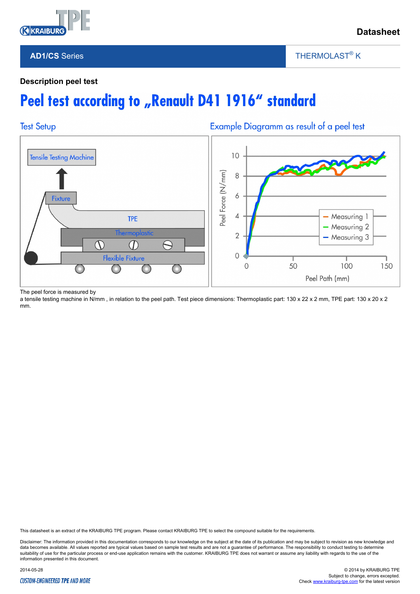

### **AD1/CS** Series

THERMOLAST<sup>®</sup> K

 $\overline{\phantom{a}}$ 

### **Description peel test**

# Peel test according to "Renault D41 1916" standard



The peel force is measured by

a tensile testing machine in N/mm, in relation to the peel path. Test piece dimensions: Thermoplastic part: 130 x 22 x 2 mm, TPE part: 130 x 20 x 2 mm.

This datasheet is an extract of the KRAIBURG TPE program. Please contact KRAIBURG TPE to select the compound suitable for the requirements.

Disclaimer: The information provided in this documentation corresponds to our knowledge on the subject at the date of its publication and may be subject to revision as new knowledge and data becomes available. All values reported are typical values based on sample test results and are not a guarantee of performance. The responsibility to conduct testing to determine suitability of use for the particular process or end-use application remains with the customer. KRAIBURG TPE does not warrant or assume any liability with regards to the use of the information presented in this document.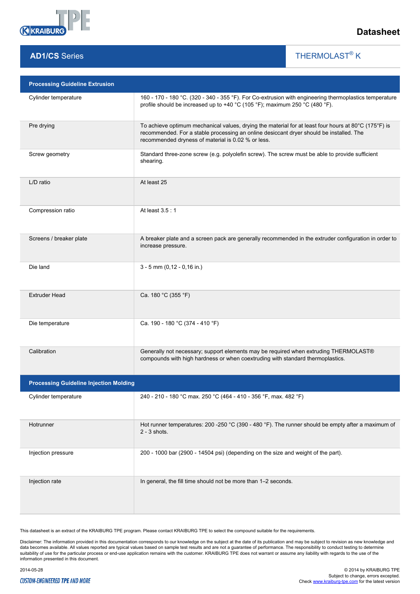

# **AD1/CS** Series

THERMOLAST<sup>®</sup> K

 $\overline{\phantom{a}}$ 

| <b>Processing Guideline Extrusion</b>         |                                                                                                                                                                                                                                                       |  |  |  |  |
|-----------------------------------------------|-------------------------------------------------------------------------------------------------------------------------------------------------------------------------------------------------------------------------------------------------------|--|--|--|--|
| Cylinder temperature                          | 160 - 170 - 180 °C. (320 - 340 - 355 °F). For Co-extrusion with engineering thermoplastics temperature<br>profile should be increased up to +40 °C (105 °F); maximum 250 °C (480 °F).                                                                 |  |  |  |  |
| Pre drying                                    | To achieve optimum mechanical values, drying the material for at least four hours at 80°C (175°F) is<br>recommended. For a stable processing an online desiccant dryer should be installed. The<br>recommended dryness of material is 0.02 % or less. |  |  |  |  |
| Screw geometry                                | Standard three-zone screw (e.g. polyolefin screw). The screw must be able to provide sufficient<br>shearing.                                                                                                                                          |  |  |  |  |
| L/D ratio                                     | At least 25                                                                                                                                                                                                                                           |  |  |  |  |
| Compression ratio                             | At least 3.5:1                                                                                                                                                                                                                                        |  |  |  |  |
| Screens / breaker plate                       | A breaker plate and a screen pack are generally recommended in the extruder configuration in order to<br>increase pressure.                                                                                                                           |  |  |  |  |
| Die land                                      | $3 - 5$ mm (0,12 - 0,16 in.)                                                                                                                                                                                                                          |  |  |  |  |
| <b>Extruder Head</b>                          | Ca. 180 °C (355 °F)                                                                                                                                                                                                                                   |  |  |  |  |
| Die temperature                               | Ca. 190 - 180 °C (374 - 410 °F)                                                                                                                                                                                                                       |  |  |  |  |
| Calibration                                   | Generally not necessary; support elements may be required when extruding THERMOLAST®<br>compounds with high hardness or when coextruding with standard thermoplastics.                                                                                |  |  |  |  |
| <b>Processing Guideline Injection Molding</b> |                                                                                                                                                                                                                                                       |  |  |  |  |
| Cylinder temperature                          | 240 - 210 - 180 °C max. 250 °C (464 - 410 - 356 °F, max. 482 °F)                                                                                                                                                                                      |  |  |  |  |
| Hotrunner                                     | Hot runner temperatures: 200 -250 °C (390 - 480 °F). The runner should be empty after a maximum of<br>$2 - 3$ shots.                                                                                                                                  |  |  |  |  |
| Injection pressure                            | 200 - 1000 bar (2900 - 14504 psi) (depending on the size and weight of the part).                                                                                                                                                                     |  |  |  |  |
| Injection rate                                | In general, the fill time should not be more than 1-2 seconds.                                                                                                                                                                                        |  |  |  |  |

This datasheet is an extract of the KRAIBURG TPE program. Please contact KRAIBURG TPE to select the compound suitable for the requirements.

Disclaimer: The information provided in this documentation corresponds to our knowledge on the subject at the date of its publication and may be subject to revision as new knowledge and<br>data becomes available. All values r